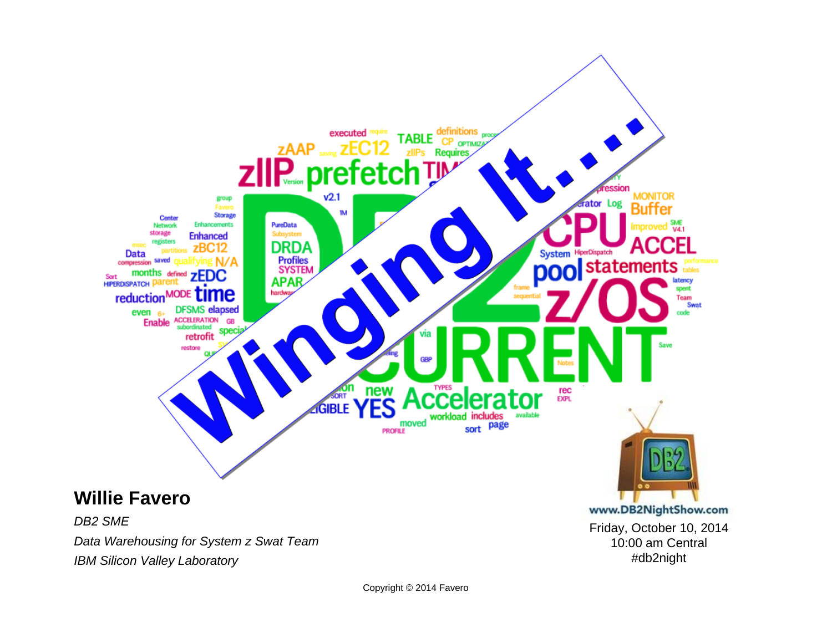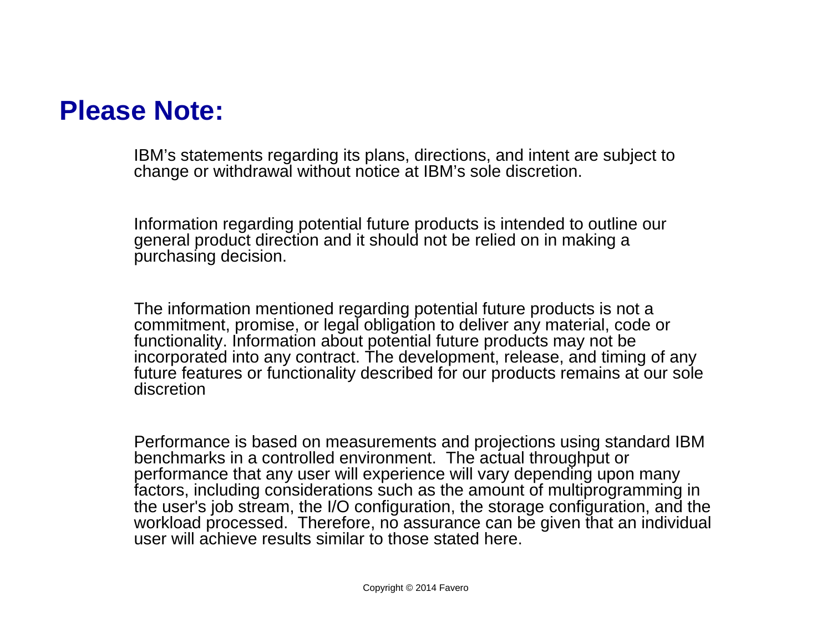#### **Please Note:**

IBM's statements regarding its plans, directions, and intent are subject to change or withdrawal without notice at IBM's sole discretion.

Information regarding potential future products is intended to outline our general product direction and it should not be relied on in making a purchasing decision.

The information mentioned regarding potential future products is not a commitment, promise, or legal obligation to deliver any material, code or functionality. Information about potential future products may not be incorporated into any contract. The development, release, and timing of any future features or functionality described for our products remains at our sole discretion

Performance is based on measurements and projections using standard IBM benchmarks in a controlled environment. The actual throughput or performance that any user will experience will vary depending upon many factors, including considerations such as the amount of multiprogramming in the user's job stream, the I/O configuration, the storage configuration, and the workload processed. Therefore, no assurance can be given that an individual user will achieve results similar to those stated here.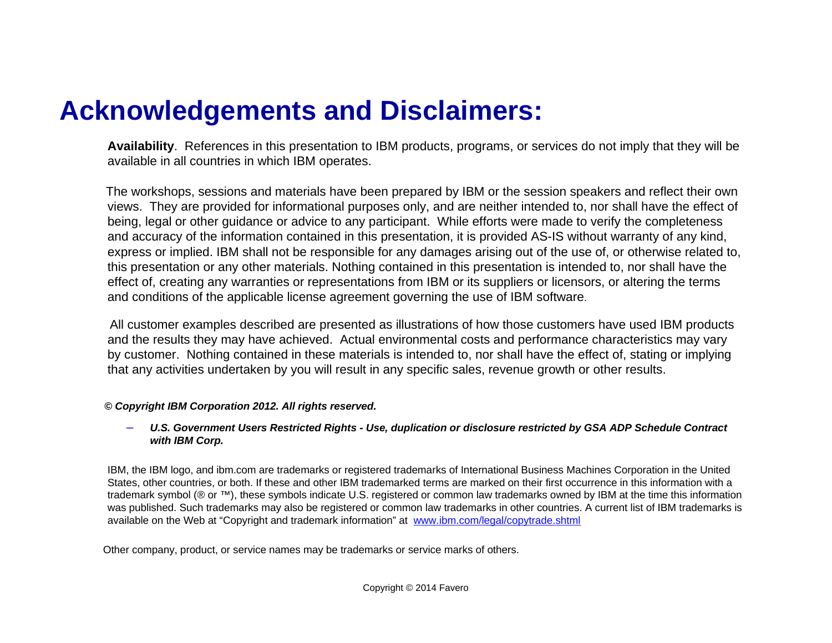#### **Acknowledgements and Disclaimers:**

**Availability**. References in this presentation to IBM products, programs, or services do not imply that they will be available in all countries in which IBM operates.

The workshops, sessions and materials have been prepared by IBM or the session speakers and reflect their own views. They are provided for informational purposes only, and are neither intended to, nor shall have the effect of being, legal or other guidance or advice to any participant. While efforts were made to verify the completeness and accuracy of the information contained in this presentation, it is provided AS-IS without warranty of any kind, express or implied. IBM shall not be responsible for any damages arising out of the use of, or otherwise related to, this presentation or any other materials. Nothing contained in this presentation is intended to, nor shall have the effect of, creating any warranties or representations from IBM or its suppliers or licensors, or altering the terms and conditions of the applicable license agreement governing the use of IBM software.

All customer examples described are presented as illustrations of how those customers have used IBM products and the results they may have achieved. Actual environmental costs and performance characteristics may vary by customer. Nothing contained in these materials is intended to, nor shall have the effect of, stating or implying that any activities undertaken by you will result in any specific sales, revenue growth or other results.

#### *© Copyright IBM Corporation 2012. All rights reserved.*

#### – *U.S. Government Users Restricted Rights - Use, duplication or disclosure restricted by GSA ADP Schedule Contract with IBM Corp.*

IBM, the IBM logo, and ibm.com are trademarks or registered trademarks of International Business Machines Corporation in the United States, other countries, or both. If these and other IBM trademarked terms are marked on their first occurrence in this information with a trademark symbol (® or ™), these symbols indicate U.S. registered or common law trademarks owned by IBM at the time this information was published. Such trademarks may also be registered or common law trademarks in other countries. A current list of IBM trademarks is available on the Web at "Copyright and trademark information" at [www.ibm.com/legal/copytrade.shtml](http://www.ibm.com/legal/copytrade.shtml)

Other company, product, or service names may be trademarks or service marks of others.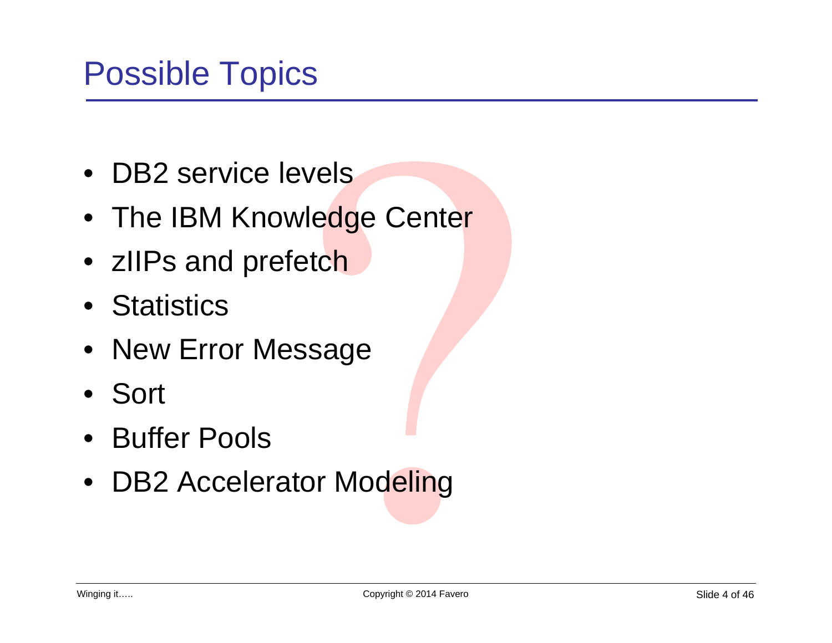- DB2 service levels
- The IBM Knowledge Center
- zIIPs and prefetch
- Statistics
- New Error Message
- Sort
- Buffer Pools
- DB2 Accelerator Modeling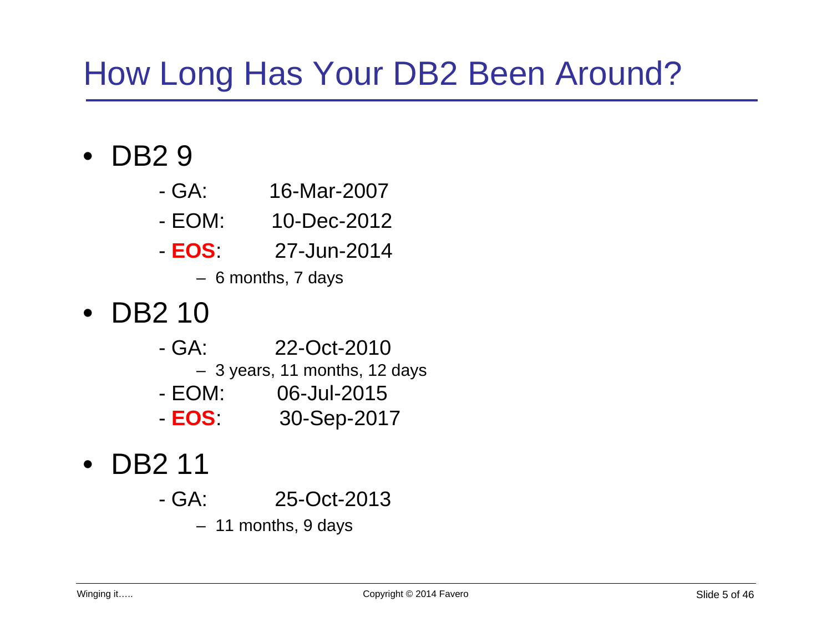# How Long Has Your DB2 Been Around?

### • DB2 9

- GA: 16-Mar-2007
- EOM: 10-Dec-2012
- **EOS**: 27-Jun-2014
	- 6 months, 7 days

## • DB2 10

- GA: 22-Oct-2010– 3 years, 11 months, 12 days - EOM: 06-Jul-2015
- **EOS**: 30-Sep-2017
- DB2 11
	- GA: 25-Oct-2013
		- 11 months, 9 days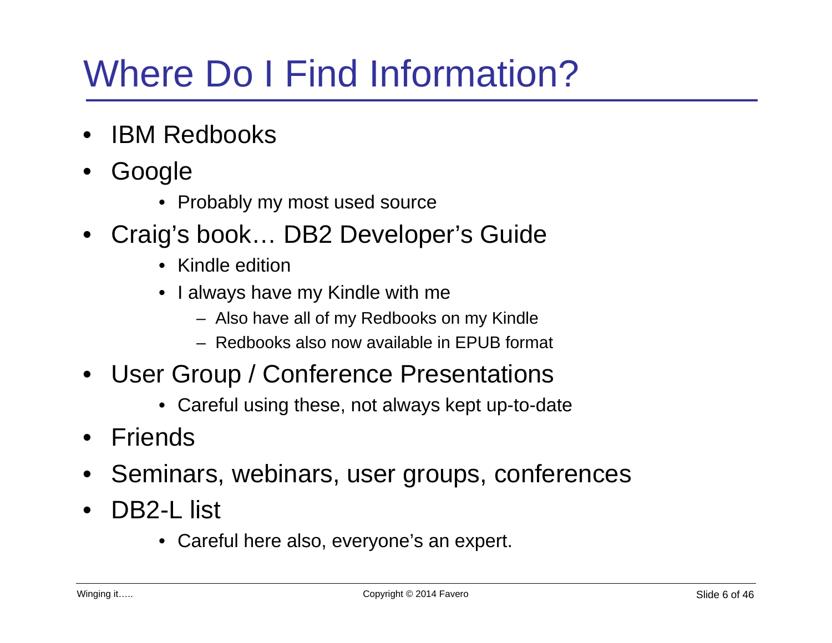# Where Do I Find Information?

- IBM Redbooks
- Google
	- Probably my most used source
- Craig's book… DB2 Developer's Guide
	- Kindle edition
	- I always have my Kindle with me
		- Also have all of my Redbooks on my Kindle
		- Redbooks also now available in EPUB format
- User Group / Conference Presentations
	- Careful using these, not always kept up-to-date
- **Friends**
- Seminars, webinars, user groups, conferences
- DB2-L list
	- Careful here also, everyone's an expert.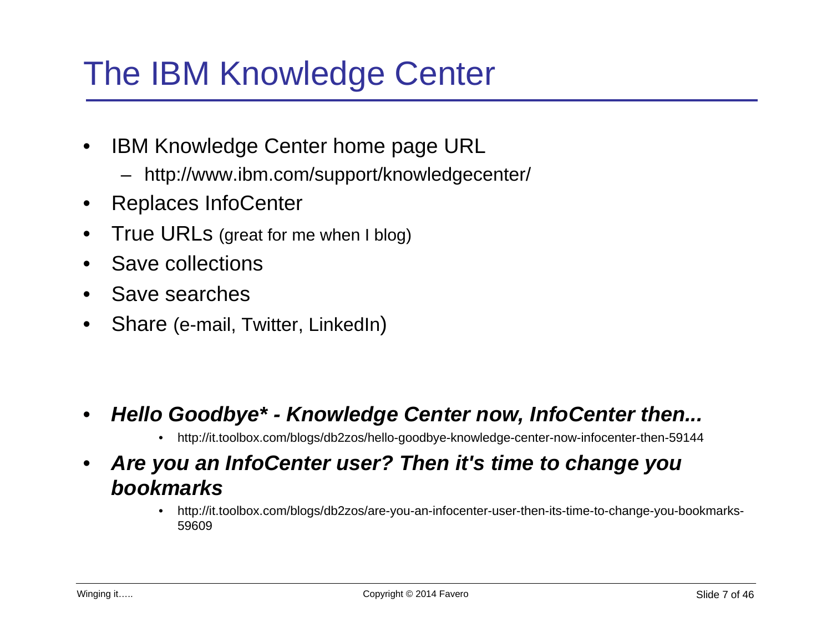# The IBM Knowledge Center

- IBM Knowledge Center home page URL
	- http://www.ibm.com/support/knowledgecenter/
- Replaces InfoCenter
- True URLs (great for me when I blog)
- Save collections
- Save searches
- Share (e-mail, Twitter, LinkedIn)

- *Hello Goodbye\* Knowledge Center now, InfoCenter then...*
	- http://it.toolbox.com/blogs/db2zos/hello-goodbye-knowledge-center-now-infocenter-then-59144
- *Are you an InfoCenter user? Then it's time to change you bookmarks*
	- http://it.toolbox.com/blogs/db2zos/are-you-an-infocenter-user-then-its-time-to-change-you-bookmarks-59609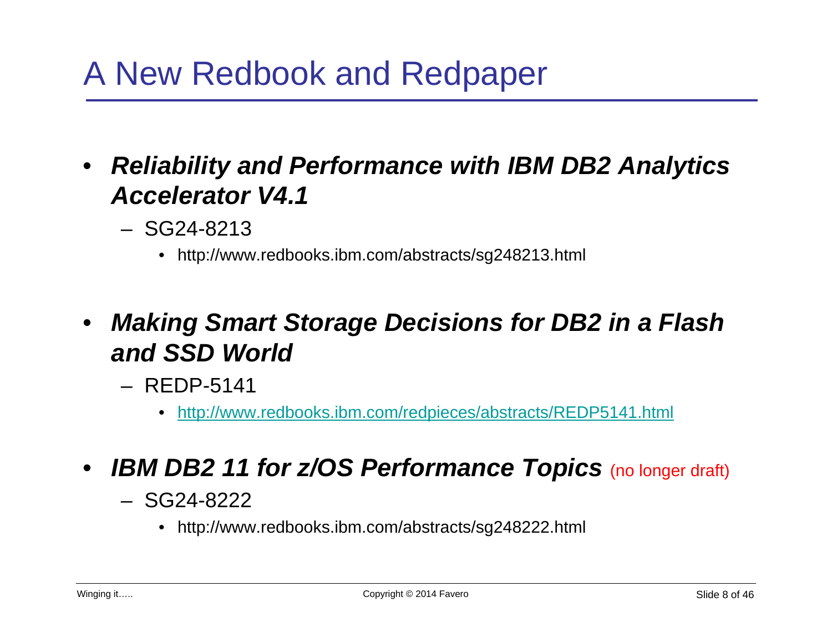# A New Redbook and Redpaper

- *Reliability and Performance with IBM DB2 Analytics Accelerator V4.1*
	- SG24-8213
		- http://www.redbooks.ibm.com/abstracts/sg248213.html
- *Making Smart Storage Decisions for DB2 in a Flash and SSD World*
	- REDP-5141
		- <http://www.redbooks.ibm.com/redpieces/abstracts/REDP5141.html>
- *IBM DB2 11 for z/OS Performance Topics* (no longer draft)
	- SG24-8222
		- http://www.redbooks.ibm.com/abstracts/sg248222.html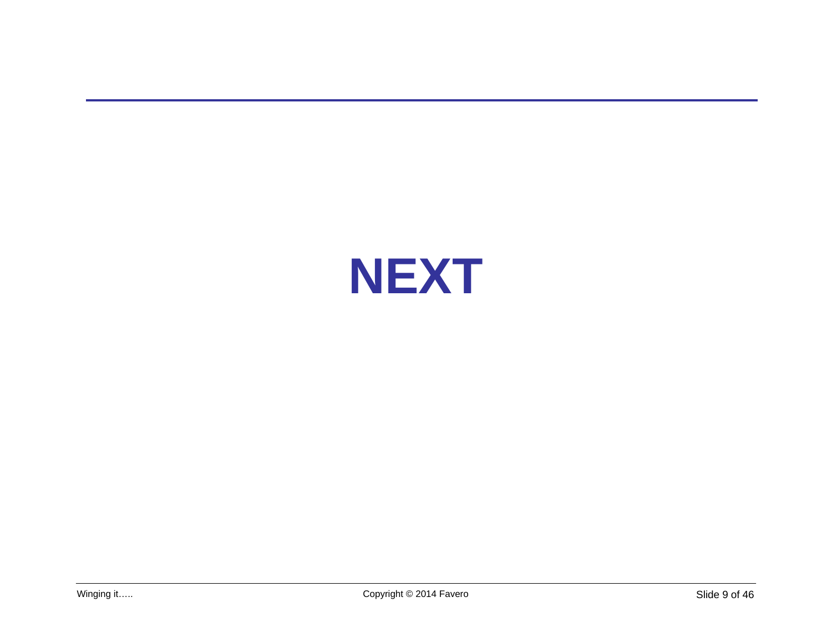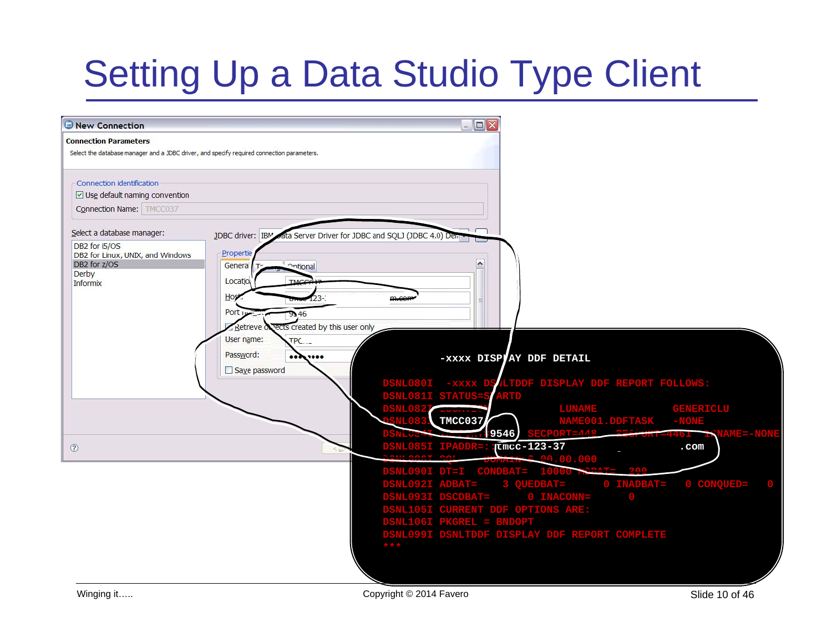# Setting Up a Data Studio Type Client

| New Connection                                                                                                             |                                                                                                  |                                                   |                   | $ \Box$ $\times$                                                                                                                                                                                                                                                                  |                                                                    |                          |                    |
|----------------------------------------------------------------------------------------------------------------------------|--------------------------------------------------------------------------------------------------|---------------------------------------------------|-------------------|-----------------------------------------------------------------------------------------------------------------------------------------------------------------------------------------------------------------------------------------------------------------------------------|--------------------------------------------------------------------|--------------------------|--------------------|
| <b>Connection Parameters</b><br>Select the database manager and a JDBC driver, and specify required connection parameters. |                                                                                                  |                                                   |                   |                                                                                                                                                                                                                                                                                   |                                                                    |                          |                    |
| Connection identification<br>$\vee$ Use default naming convention<br>Connection Name: TMCC037                              |                                                                                                  |                                                   |                   |                                                                                                                                                                                                                                                                                   |                                                                    |                          |                    |
| Select a database manager:                                                                                                 | JDBC driver: IBM                                                                                 | ta Server Driver for JDBC and SQLJ (JDBC 4.0) Dem |                   |                                                                                                                                                                                                                                                                                   |                                                                    |                          |                    |
| DB2 for i5/OS<br>DB2 for Linux, UNIX, and Windows<br>DB2 for z/OS<br>Derby<br>Informix                                     | Propertie<br>General<br><b><u>Antional</u></b><br>Locatio<br>Host<br>Port in<br>9546<br>Retrieve | vects created by this user only                   |                   | $\blacktriangle$                                                                                                                                                                                                                                                                  |                                                                    |                          |                    |
|                                                                                                                            | User name:<br>$TPC$<br>Password:<br><br>Save password                                            | 1000                                              |                   | -xxxx DISPAY DDF DETAIL<br>DSNL080I -xxxx DS (LTDDF DISPLAY DDF REPORT FOLLOWS:<br>DSNL081I STATUS=S ARTD                                                                                                                                                                         |                                                                    |                          |                    |
|                                                                                                                            |                                                                                                  |                                                   | <b>DSNL0827</b>   |                                                                                                                                                                                                                                                                                   |                                                                    |                          | <b>GENERICLU</b>   |
|                                                                                                                            |                                                                                                  |                                                   | <b>SNL083</b>     | TMCC037                                                                                                                                                                                                                                                                           | LUNAME GENERI<br>NAME001.DDFTASK -NONE<br>SECPORT=448 EEGFORI=4461 |                          |                    |
| $\circledcirc$                                                                                                             |                                                                                                  |                                                   | DSNL085I IPADDR=: | $-9546$                                                                                                                                                                                                                                                                           | $tmcc-123-37$<br>0.00.000                                          | <b>ELECTRIC 4461</b>     | $_{\texttt{.com}}$ |
|                                                                                                                            |                                                                                                  |                                                   | ***               | DSNL090I DT=I CONDBAT= 10000 DN=1T-<br>DSNL0901 DT=1 CONDBAT= 10000 R<br>DSNL092I ADBAT= 3 QUEDBAT= 0 INADBAT=<br>DSNL093I DSCDBAT= 0 INACONN= 0<br>DSNL105I CURRENT DDF OPTIONS ARE:<br>DSNL106I PKGREL = BNDOPT<br>DSNL106I PKGREL = BNDOPT<br>DSNL099I DSNLTDDF DISPLAY DDF RE |                                                                    | <b>DAA</b><br>0 INADBAT= | 0 CONQUED=         |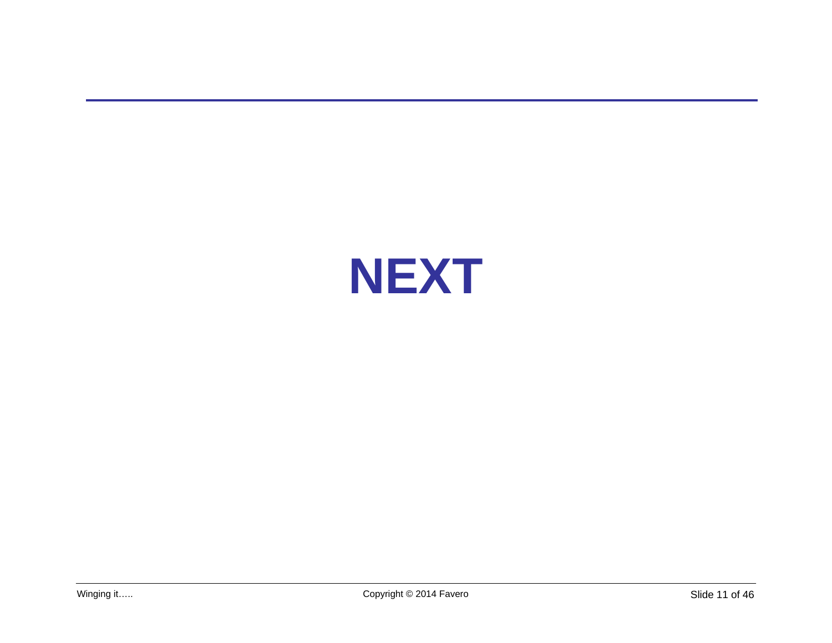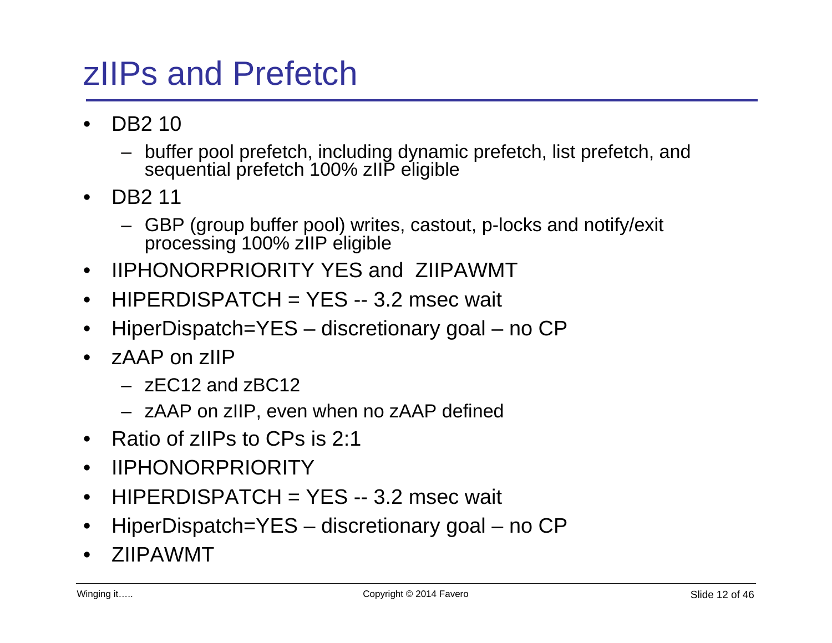# zIIPs and Prefetch

- DB2 10
	- buffer pool prefetch, including dynamic prefetch, list prefetch, and sequential prefetch 100% zIIP eligible
- DB2 11
	- GBP (group buffer pool) writes, castout, p-locks and notify/exit processing 100% zIIP eligible
- IIPHONORPRIORITY YES and ZIIPAWMT
- HIPERDISPATCH = YES -- 3.2 msec wait
- HiperDispatch=YES discretionary goal no CP
- zAAP on zIIP
	- $-$  zFC12 and zBC12
	- zAAP on zIIP, even when no zAAP defined
- Ratio of zIIPs to CPs is 2:1
- IIPHONORPRIORITY
- HIPERDISPATCH = YES -- 3.2 msec wait
- HiperDispatch=YES discretionary goal no CP
- ZIIPAWMT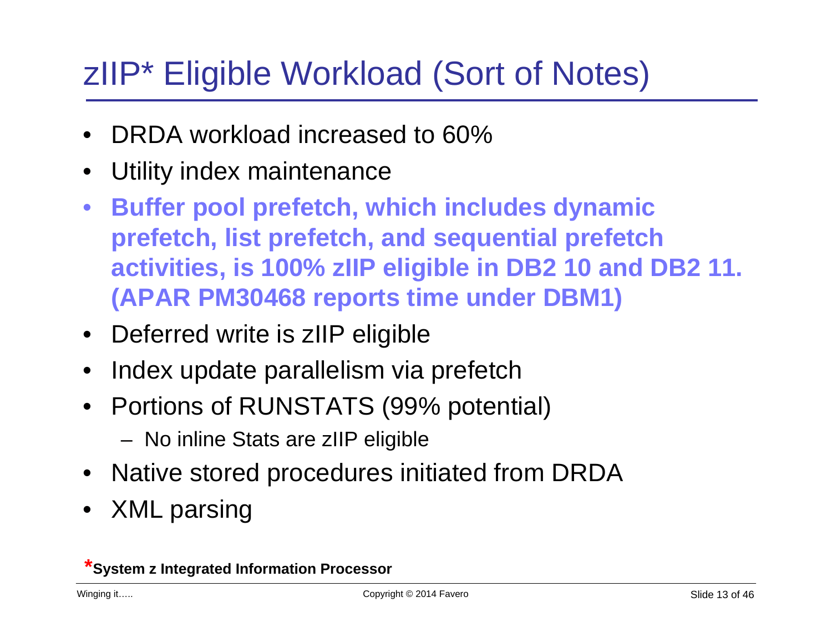# zIIP\* Eligible Workload (Sort of Notes)

- DRDA workload increased to 60%
- Utility index maintenance
- **Buffer pool prefetch, which includes dynamic prefetch, list prefetch, and sequential prefetch activities, is 100% zIIP eligible in DB2 10 and DB2 11. (APAR PM30468 reports time under DBM1)**
- Deferred write is zIIP eligible
- Index update parallelism via prefetch
- Portions of RUNSTATS (99% potential)
	- No inline Stats are zIIP eligible
- Native stored procedures initiated from DRDA
- XML parsing

**\*System z Integrated Information Processor**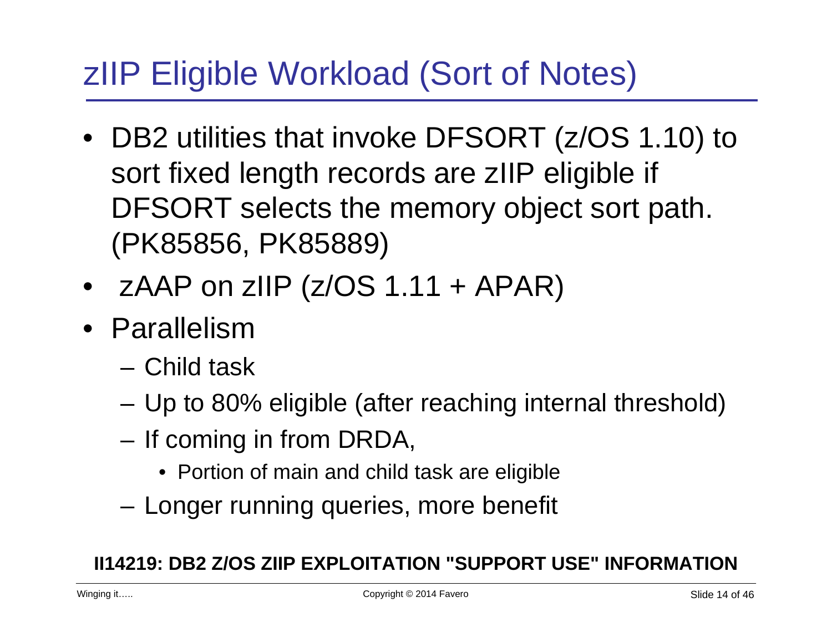# zIIP Eligible Workload (Sort of Notes)

- DB2 utilities that invoke DFSORT (z/OS 1.10) to sort fixed length records are zIIP eligible if DFSORT selects the memory object sort path. (PK85856, PK85889)
- $ZARP$  on  $ZHP (Z/OS 1.11 + APAR)$
- Parallelism
	- Child task
	- Up to 80% eligible (after reaching internal threshold)
	- If coming in from DRDA,
		- Portion of main and child task are eligible
	- Longer running queries, more benefit

#### **II14219: DB2 Z/OS ZIIP EXPLOITATION "SUPPORT USE" INFORMATION**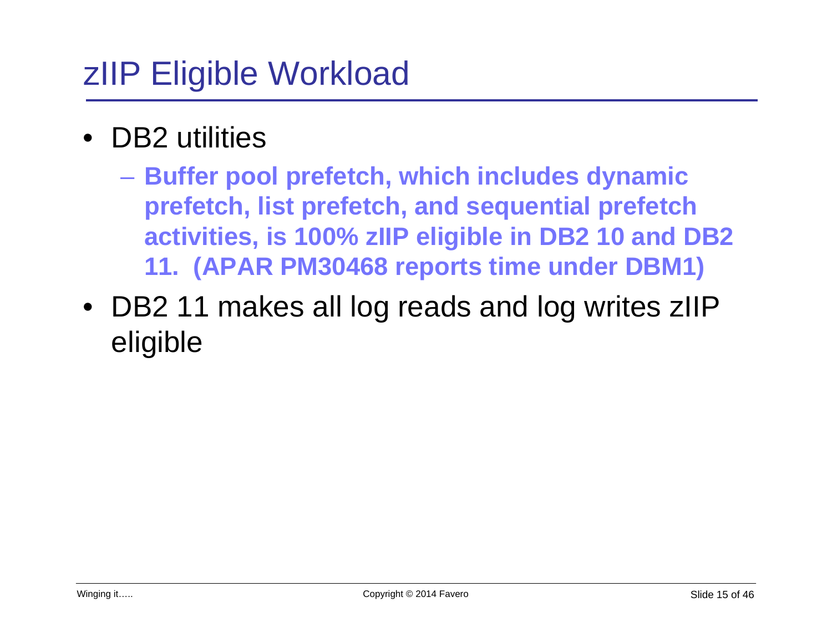# zIIP Eligible Workload

- DB<sub>2</sub> utilities
	- **Buffer pool prefetch, which includes dynamic prefetch, list prefetch, and sequential prefetch activities, is 100% zIIP eligible in DB2 10 and DB2 11. (APAR PM30468 reports time under DBM1)**
- DB2 11 makes all log reads and log writes zIIP eligible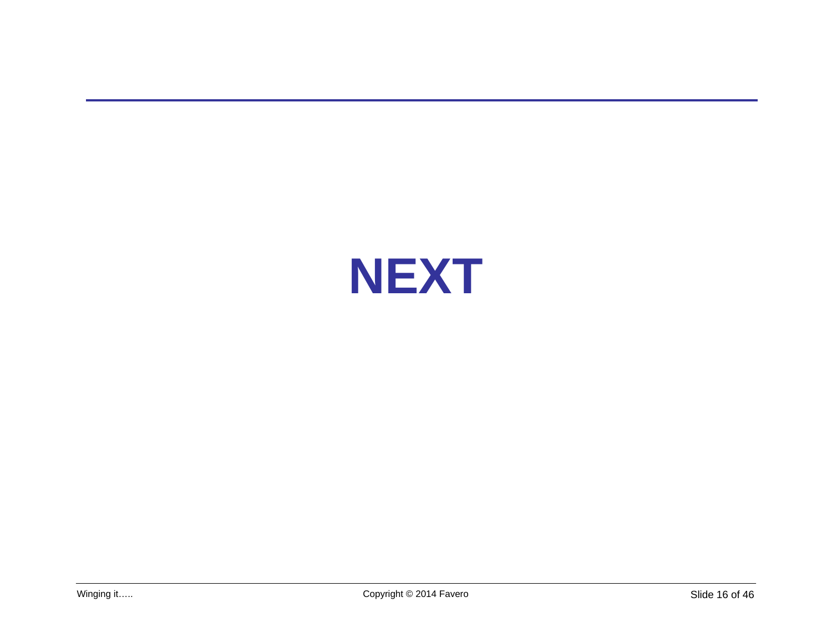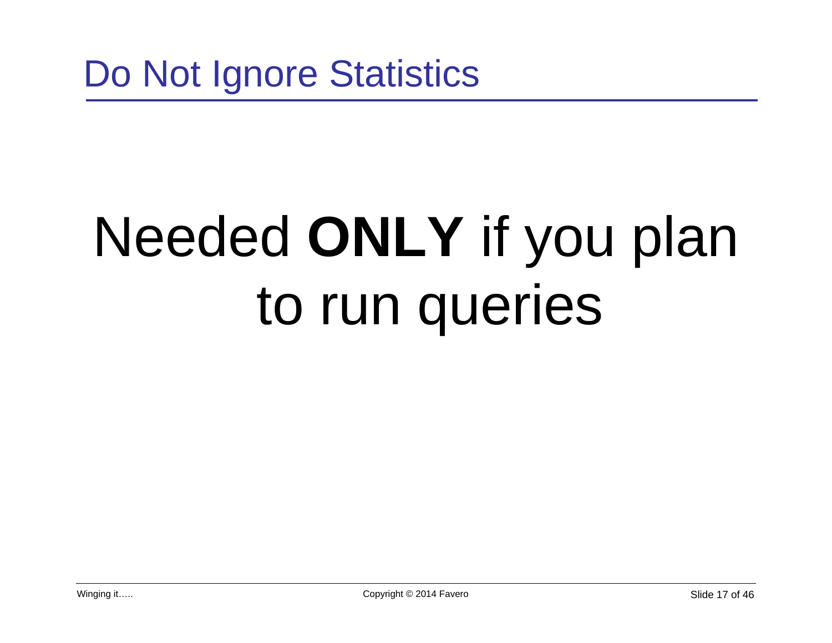# Needed **ONLY** if you plan to run queries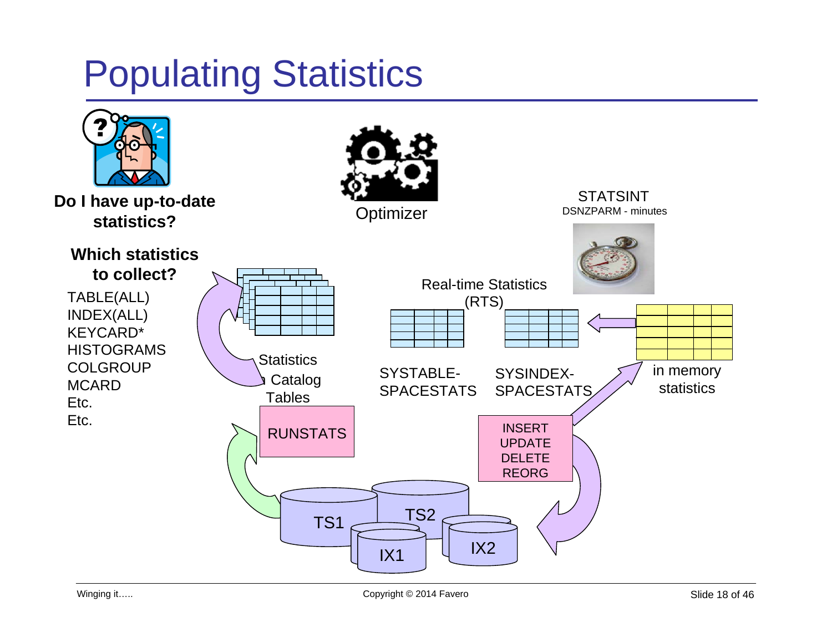# Populating Statistics

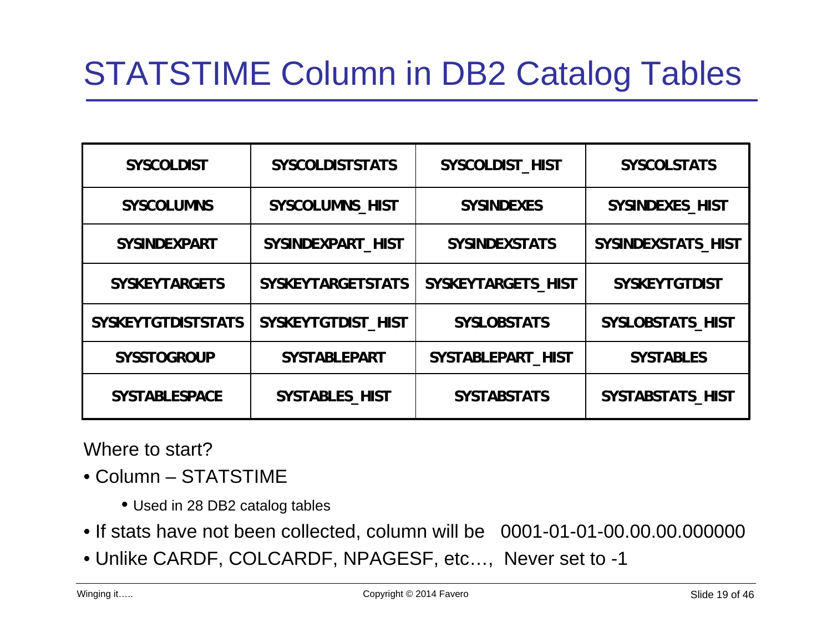# STATSTIME Column in DB2 Catalog Tables

| <b>SYSCOLDIST</b>         | <b>SYSCOLDISTSTATS</b>   | SYSCOLDIST HIST      | <b>SYSCOLSTATS</b>      |
|---------------------------|--------------------------|----------------------|-------------------------|
| <b>SYSCOLUMNS</b>         | SYSCOLUMNS_HIST          | <b>SYSINDEXES</b>    | SYSINDEXES_HIST         |
| <b>SYSINDEXPART</b>       | SYSINDEXPART HIST        | <b>SYSINDEXSTATS</b> | SYSINDEXSTATS HIST      |
| <b>SYSKEYTARGETS</b>      | <b>SYSKEYTARGETSTATS</b> | SYSKEYTARGETS HIST   | <b>SYSKEYTGTDIST</b>    |
| <b>SYSKEYTGTDISTSTATS</b> | SYSKEYTGTDIST HIST       | <b>SYSLOBSTATS</b>   | <b>SYSLOBSTATS HIST</b> |
| <b>SYSSTOGROUP</b>        | <b>SYSTABLEPART</b>      | SYSTABLEPART HIST    | <b>SYSTABLES</b>        |
| <b>SYSTABLESPACE</b>      | <b>SYSTABLES HIST</b>    | <b>SYSTABSTATS</b>   | <b>SYSTABSTATS HIST</b> |

Where to start?

- Column STATSTIME
	- Used in 28 DB2 catalog tables
- If stats have not been collected, column will be 0001-01-01-00.00.00.0000000
- Unlike CARDF, COLCARDF, NPAGESF, etc…, Never set to -1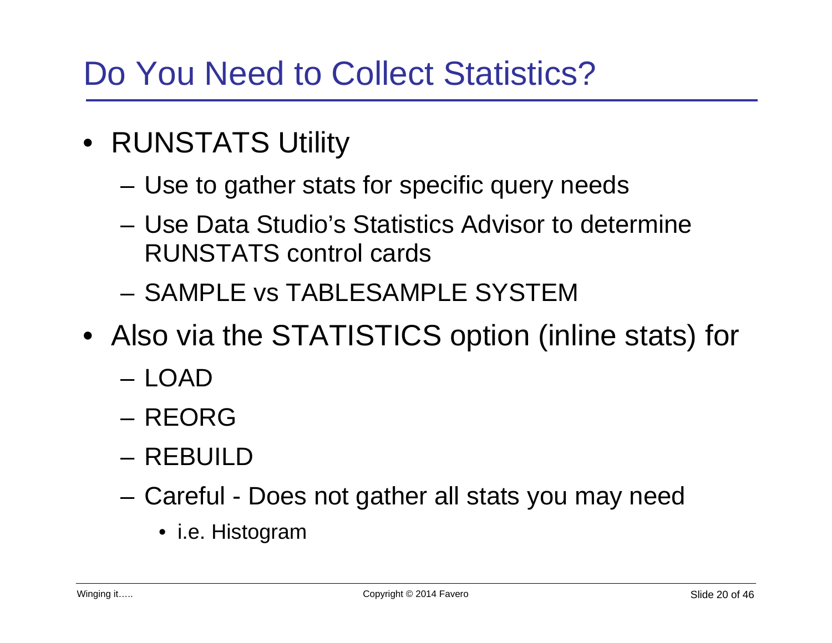# Do You Need to Collect Statistics?

- RUNSTATS Utility
	- Use to gather stats for specific query needs
	- Use Data Studio's Statistics Advisor to determine RUNSTATS control cards
	- SAMPLE vs TABLESAMPLE SYSTEM
- Also via the STATISTICS option (inline stats) for
	- LOAD
	- REORG
	- REBUILD
	- Careful Does not gather all stats you may need
		- i.e. Histogram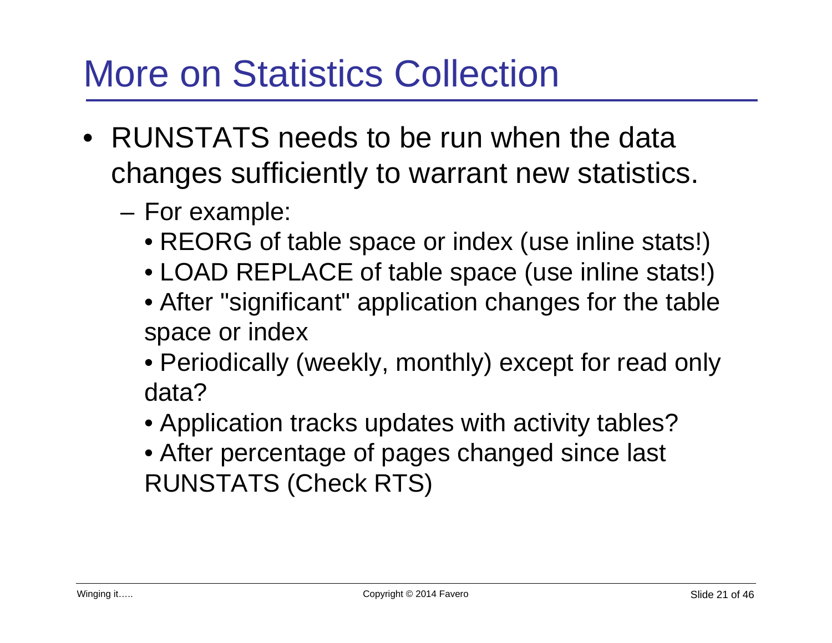# More on Statistics Collection

- RUNSTATS needs to be run when the data changes sufficiently to warrant new statistics.
	- For example:
		- REORG of table space or index (use inline stats!)
		- LOAD REPLACE of table space (use inline stats!)
		- After "significant" application changes for the table space or index
		- Periodically (weekly, monthly) except for read only data?
		- Application tracks updates with activity tables?
		- After percentage of pages changed since last RUNSTATS (Check RTS)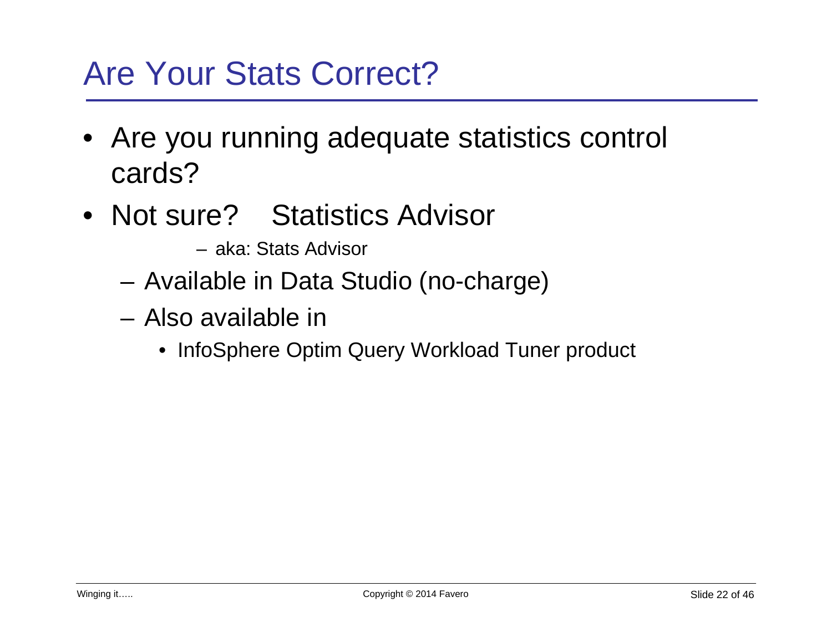# Are Your Stats Correct?

- Are you running adequate statistics control cards?
- Not sure? Statistics Advisor
	- aka: Stats Advisor
	- Available in Data Studio (no-charge)
	- Also available in
		- InfoSphere Optim Query Workload Tuner product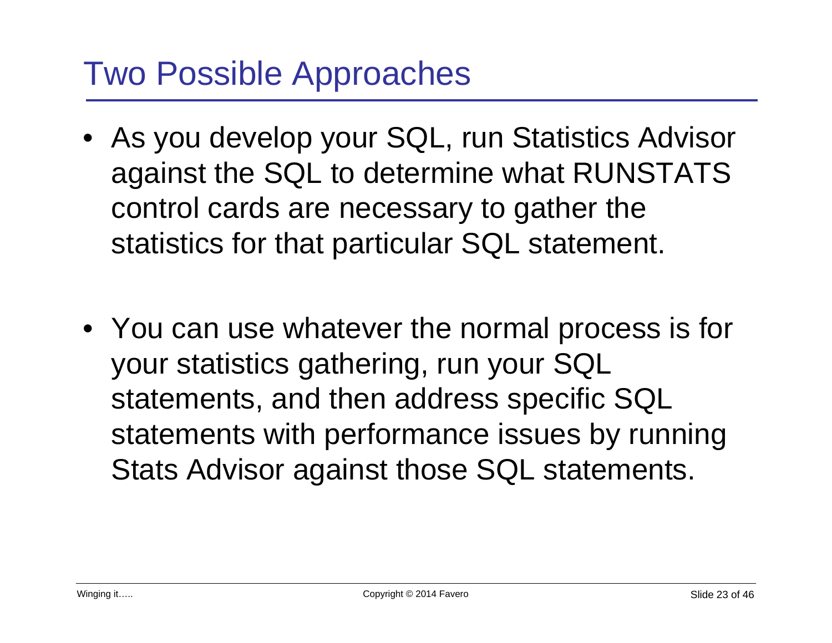# Two Possible Approaches

- As you develop your SQL, run Statistics Advisor against the SQL to determine what RUNSTATS control cards are necessary to gather the statistics for that particular SQL statement.
- You can use whatever the normal process is for your statistics gathering, run your SQL statements, and then address specific SQL statements with performance issues by running Stats Advisor against those SQL statements.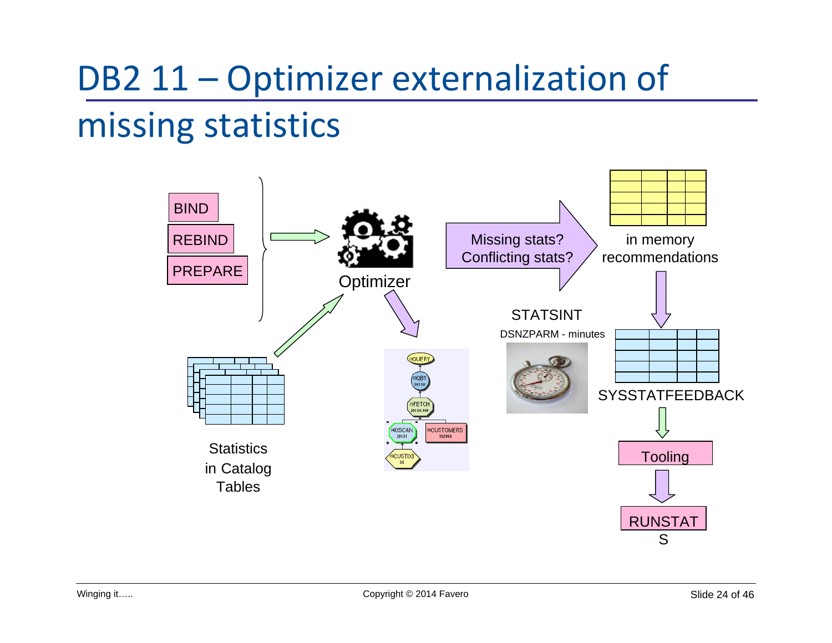# DB2 11 – Optimizer externalization of missing statistics

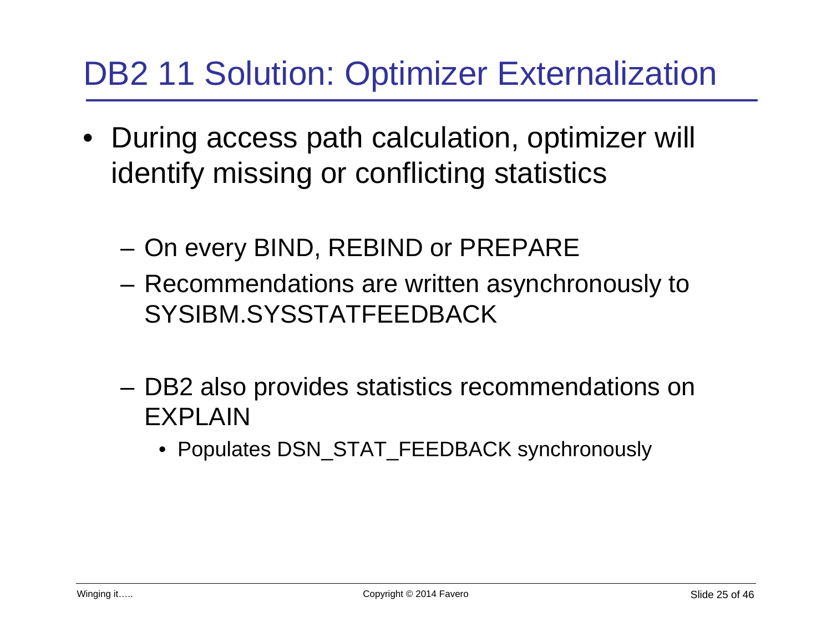# DB2 11 Solution: Optimizer Externalization

- During access path calculation, optimizer will identify missing or conflicting statistics
	- On every BIND, REBIND or PREPARE
	- Recommendations are written asynchronously to SYSIBM.SYSSTATFEEDBACK
	- DB2 also provides statistics recommendations on EXPLAIN
		- Populates DSN\_STAT\_FEEDBACK synchronously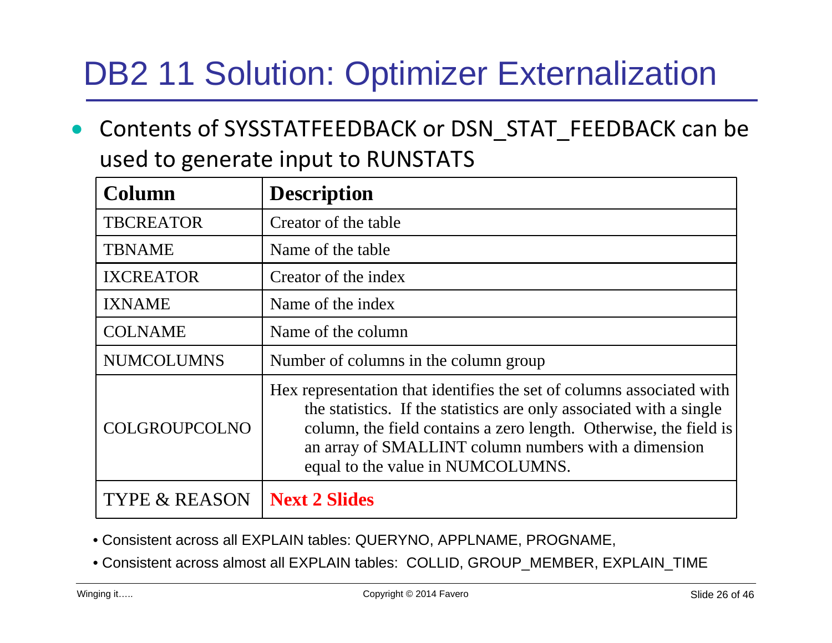# DB2 11 Solution: Optimizer Externalization

 $\bullet$  Contents of SYSSTATFEEDBACK or DSN\_STAT\_FEEDBACK can be used to generate input to RUNSTATS

| Column                   | <b>Description</b>                                                                                                                                                                                                                                                                                             |  |
|--------------------------|----------------------------------------------------------------------------------------------------------------------------------------------------------------------------------------------------------------------------------------------------------------------------------------------------------------|--|
| <b>TBCREATOR</b>         | Creator of the table                                                                                                                                                                                                                                                                                           |  |
| <b>TBNAME</b>            | Name of the table                                                                                                                                                                                                                                                                                              |  |
| <b>IXCREATOR</b>         | Creator of the index                                                                                                                                                                                                                                                                                           |  |
| <b>IXNAME</b>            | Name of the index                                                                                                                                                                                                                                                                                              |  |
| <b>COLNAME</b>           | Name of the column                                                                                                                                                                                                                                                                                             |  |
| <b>NUMCOLUMNS</b>        | Number of columns in the column group                                                                                                                                                                                                                                                                          |  |
| COLGROUPCOLNO            | Hex representation that identifies the set of columns associated with<br>the statistics. If the statistics are only associated with a single<br>column, the field contains a zero length. Otherwise, the field is<br>an array of SMALLINT column numbers with a dimension<br>equal to the value in NUMCOLUMNS. |  |
| <b>TYPE &amp; REASON</b> | <b>Next 2 Slides</b>                                                                                                                                                                                                                                                                                           |  |

- Consistent across all EXPLAIN tables: QUERYNO, APPLNAME, PROGNAME,
- Consistent across almost all EXPLAIN tables: COLLID, GROUP\_MEMBER, EXPLAIN\_TIME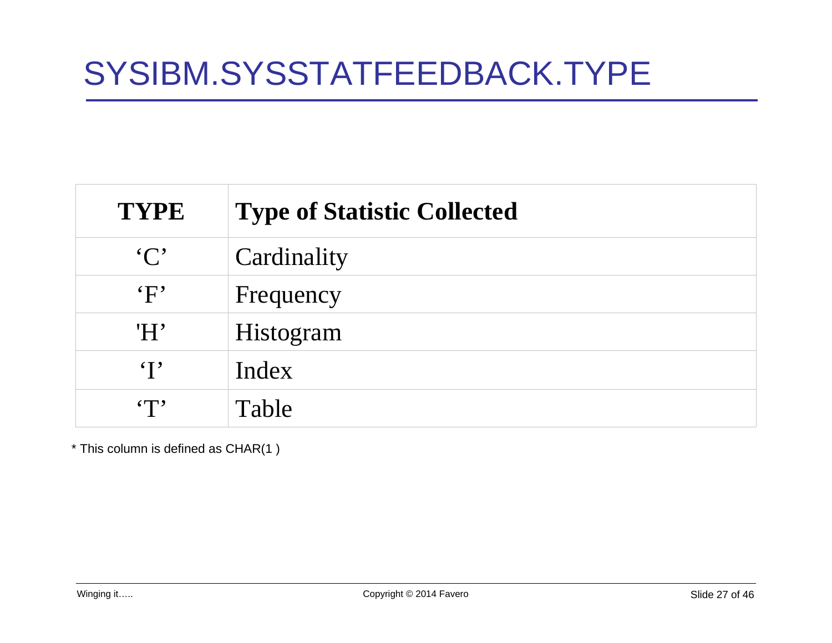| <b>TYPE</b>   | <b>Type of Statistic Collected</b> |
|---------------|------------------------------------|
| $\cdot C$     | Cardinality                        |
| $\mathbf{F}$  | Frequency                          |
| 'H'           | Histogram                          |
| $\mathbf{I}$  | Index                              |
| $\mathbf{FT}$ | Table                              |

\* This column is defined as CHAR(1 )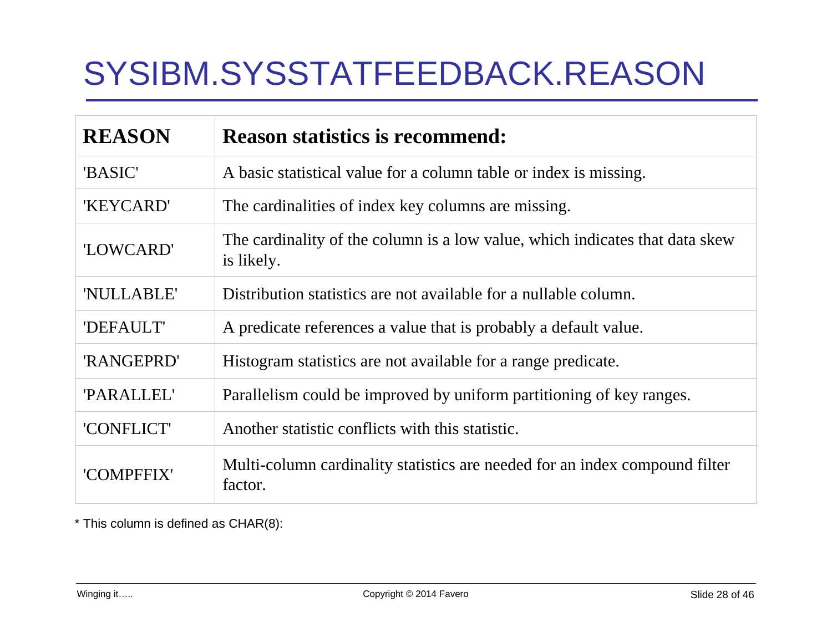# SYSIBM.SYSSTATFEEDBACK.REASON

| <b>REASON</b> | <b>Reason statistics is recommend:</b>                                                     |
|---------------|--------------------------------------------------------------------------------------------|
| 'BASIC'       | A basic statistical value for a column table or index is missing.                          |
| 'KEYCARD'     | The cardinalities of index key columns are missing.                                        |
| 'LOWCARD'     | The cardinality of the column is a low value, which indicates that data skew<br>is likely. |
| 'NULLABLE'    | Distribution statistics are not available for a nullable column.                           |
| 'DEFAULT'     | A predicate references a value that is probably a default value.                           |
| 'RANGEPRD'    | Histogram statistics are not available for a range predicate.                              |
| 'PARALLEL'    | Parallelism could be improved by uniform partitioning of key ranges.                       |
| 'CONFLICT'    | Another statistic conflicts with this statistic.                                           |
| 'COMPFFIX'    | Multi-column cardinality statistics are needed for an index compound filter<br>factor.     |

\* This column is defined as CHAR(8):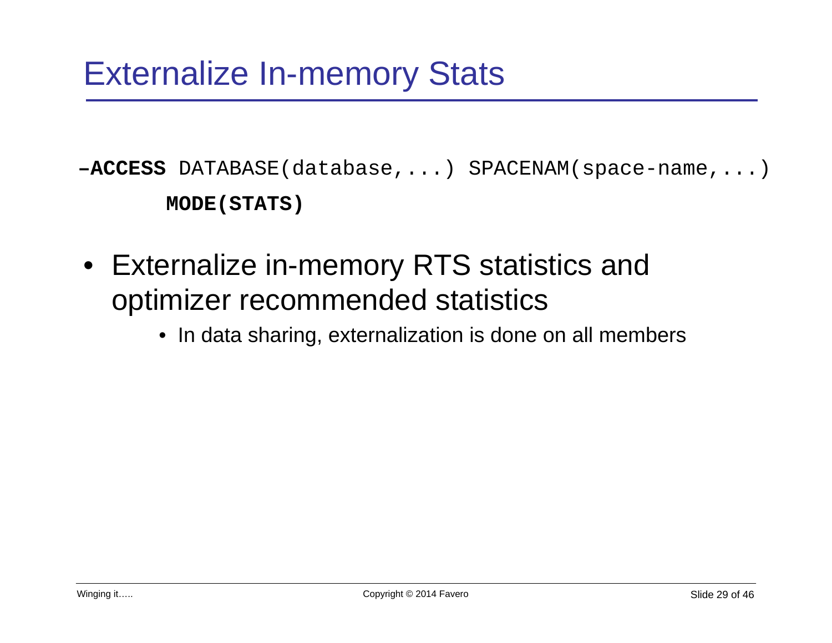**–ACCESS** DATABASE(database,...) SPACENAM(space-name,...) **MODE(STATS)**

- Externalize in-memory RTS statistics and optimizer recommended statistics
	- In data sharing, externalization is done on all members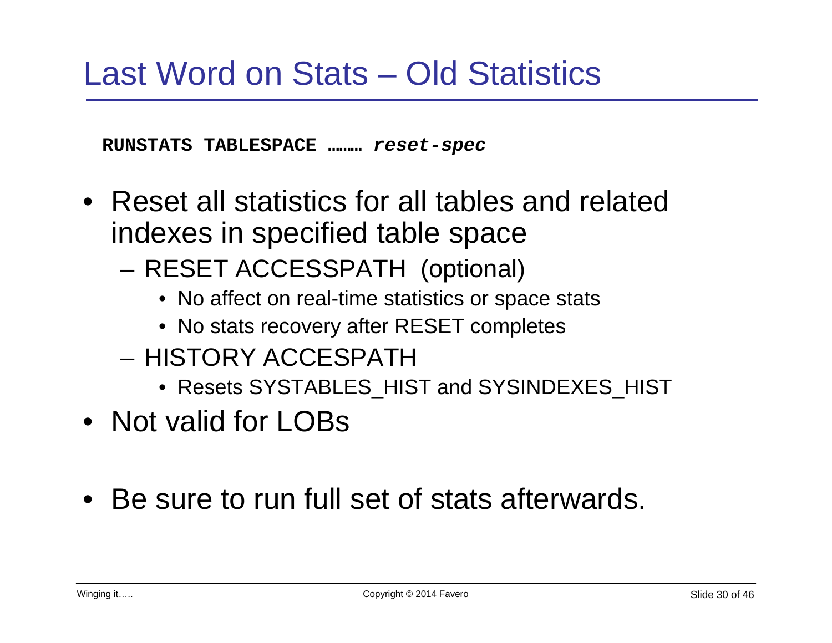**RUNSTATS TABLESPACE ………** *reset-spec*

- Reset all statistics for all tables and related indexes in specified table space
	- RESET ACCESSPATH (optional)
		- No affect on real-time statistics or space stats
		- No stats recovery after RESET completes
	- HISTORY ACCESPATH
		- Resets SYSTABLES HIST and SYSINDEXES HIST
- Not valid for LOBs
- Be sure to run full set of stats afterwards.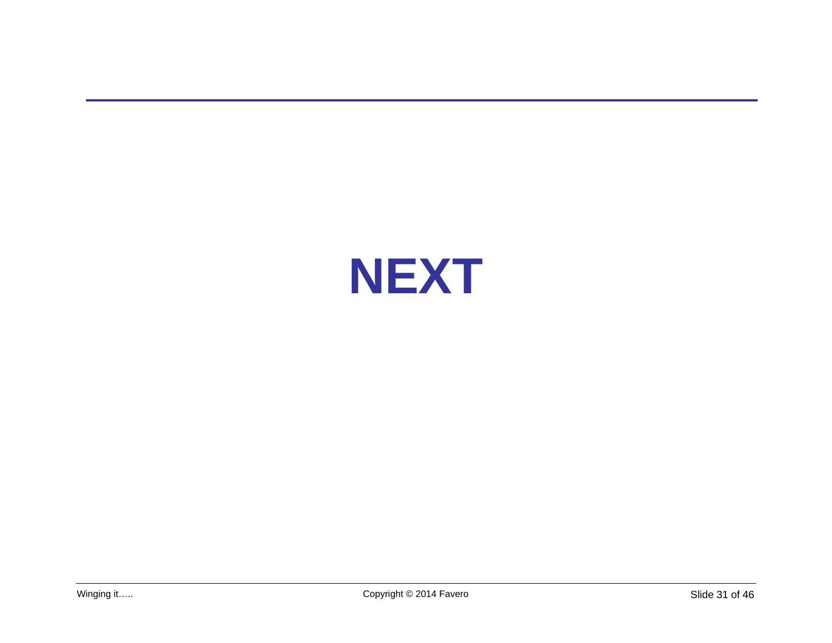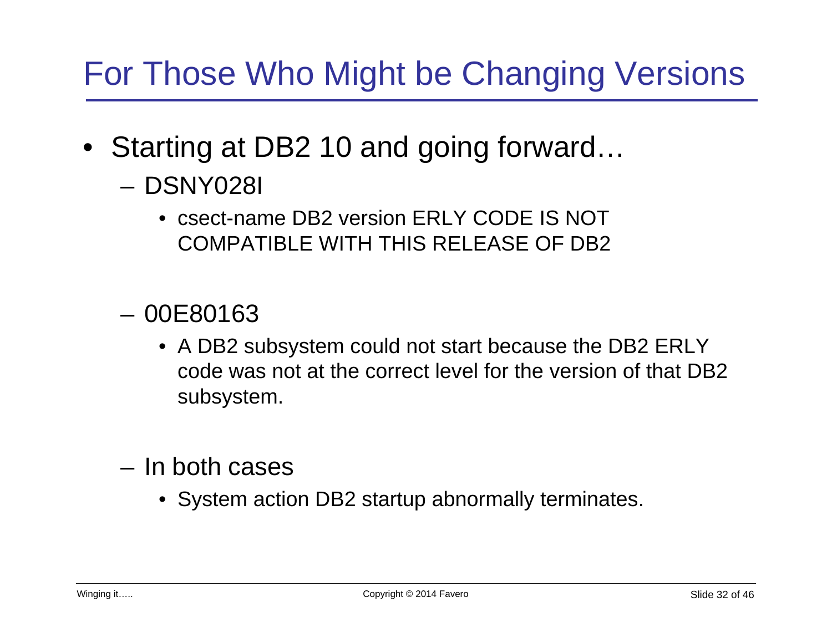# For Those Who Might be Changing Versions

- Starting at DB2 10 and going forward...
	- DSNY028I
		- csect-name DB2 version ERLY CODE IS NOT COMPATIBLE WITH THIS RELEASE OF DB2
	- 00E80163
		- A DB2 subsystem could not start because the DB2 ERLY code was not at the correct level for the version of that DB2 subsystem.
	- In both cases
		- System action DB2 startup abnormally terminates.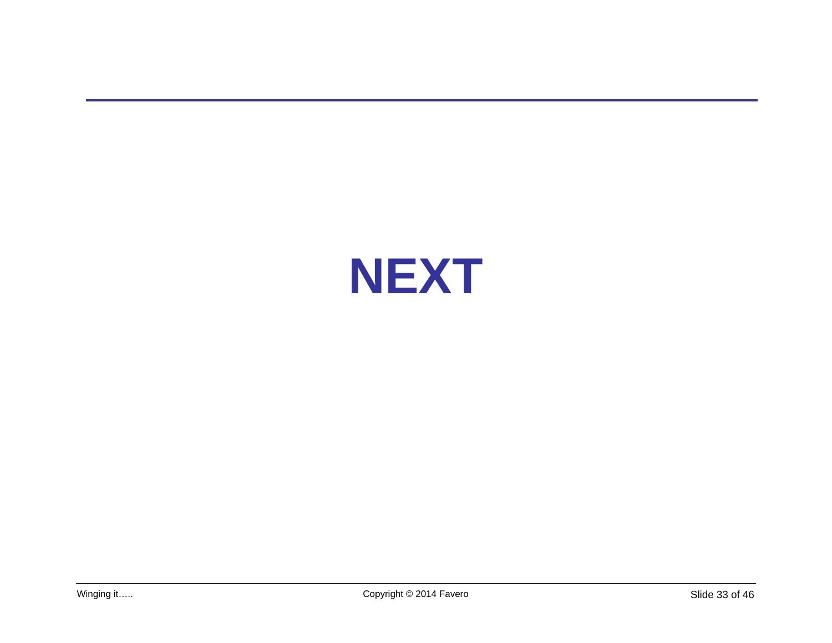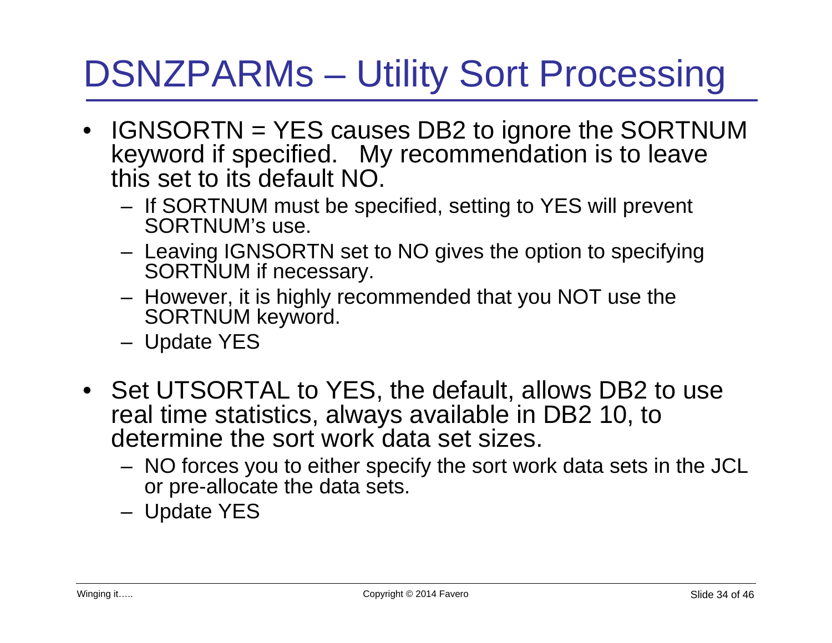# DSNZPARMs – Utility Sort Processing

- IGNSORTN = YES causes DB2 to ignore the SORTNUM keyword if specified. My recommendation is to leave this set to its default NO.
	- If SORTNUM must be specified, setting to YES will prevent SORTNUM's use.
	- Leaving IGNSORTN set to NO gives the option to specifying SORTNUM if necessary.
	- However, it is highly recommended that you NOT use the SORTNUM keyword.
	- Update YES
- Set UTSORTAL to YES, the default, allows DB2 to use real time statistics, always available in DB2 10, to determine the sort work data set sizes.
	- NO forces you to either specify the sort work data sets in the JCL or pre-allocate the data sets.
	- Update YES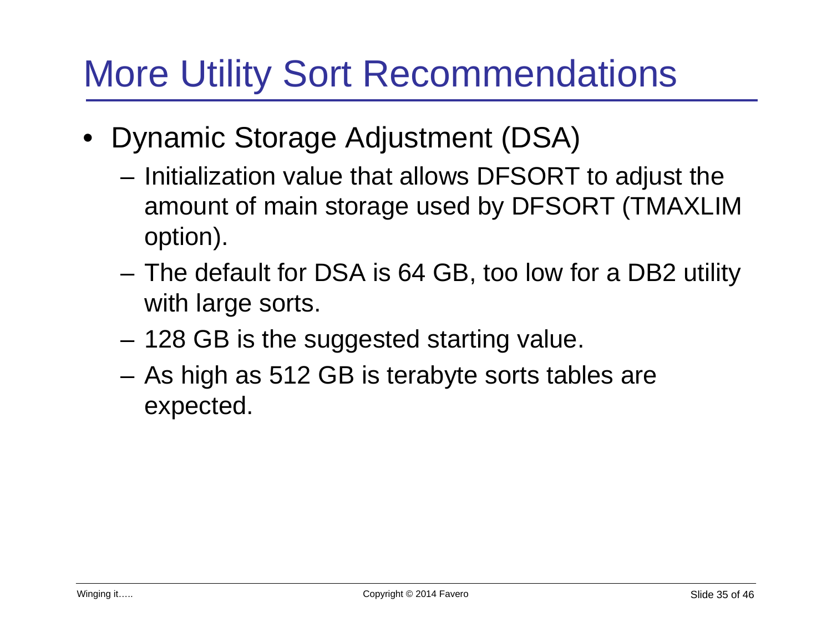# More Utility Sort Recommendations

- Dynamic Storage Adjustment (DSA)
	- Initialization value that allows DFSORT to adjust the amount of main storage used by DFSORT (TMAXLIM option).
	- The default for DSA is 64 GB, too low for a DB2 utility with large sorts.
	- 128 GB is the suggested starting value.
	- As high as 512 GB is terabyte sorts tables are expected.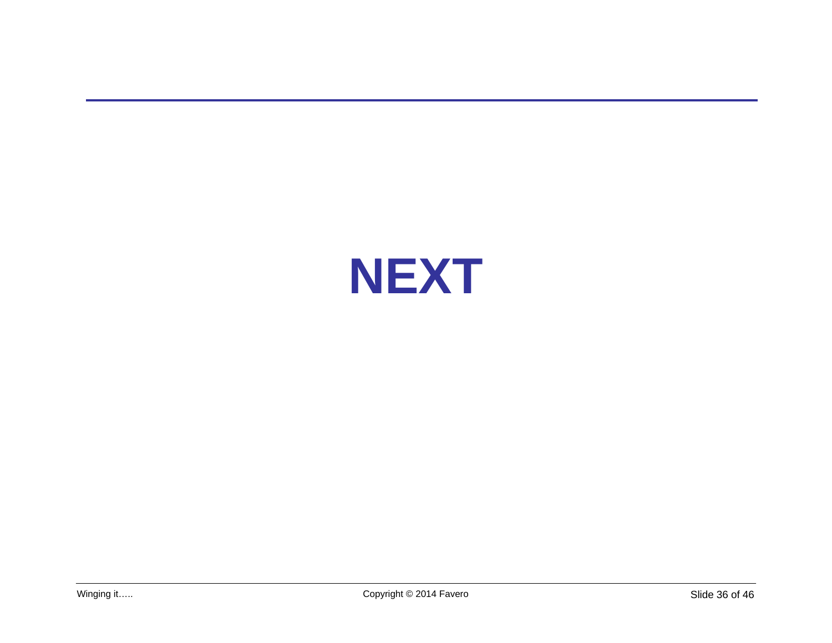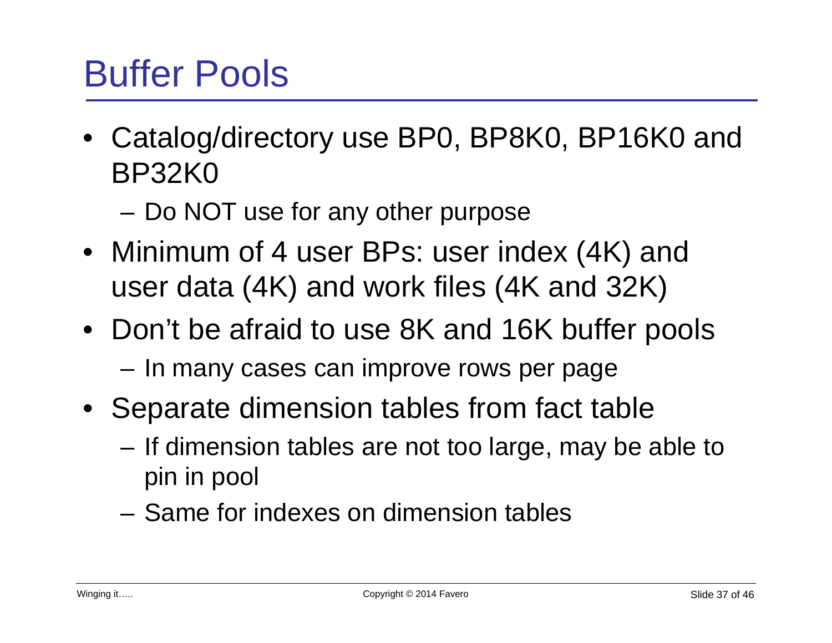# Buffer Pools

- Catalog/directory use BP0, BP8K0, BP16K0 and BP32K0
	- Do NOT use for any other purpose
- Minimum of 4 user BPs: user index (4K) and user data (4K) and work files (4K and 32K)
- Don't be afraid to use 8K and 16K buffer pools – In many cases can improve rows per page
- Separate dimension tables from fact table
	- If dimension tables are not too large, may be able to pin in pool
	- Same for indexes on dimension tables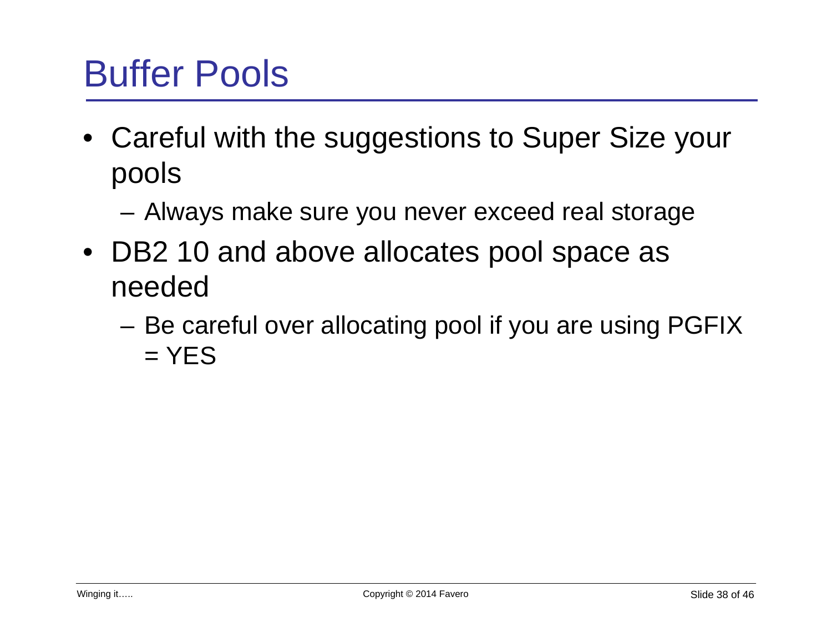# Buffer Pools

- Careful with the suggestions to Super Size your pools
	- Always make sure you never exceed real storage
- DB2 10 and above allocates pool space as needed
	- Be careful over allocating pool if you are using PGFIX  $=$  YES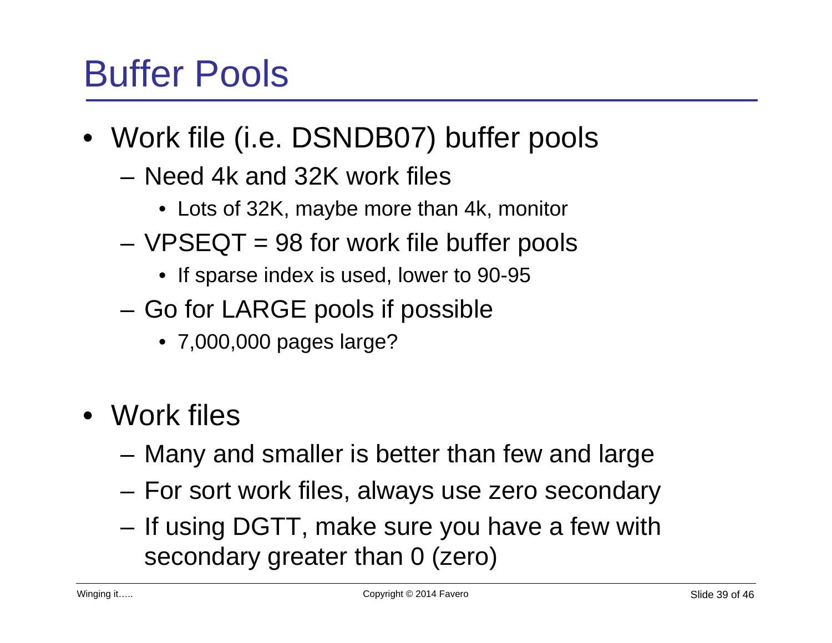# Buffer Pools

- Work file (i.e. DSNDB07) buffer pools
	- Need 4k and 32K work files
		- Lots of 32K, maybe more than 4k, monitor
	- $-VPSEQT = 98$  for work file buffer pools
		- If sparse index is used, lower to 90-95
	- Go for LARGE pools if possible
		- 7,000,000 pages large?
- Work files
	- Many and smaller is better than few and large
	- For sort work files, always use zero secondary
	- If using DGTT, make sure you have a few with secondary greater than 0 (zero)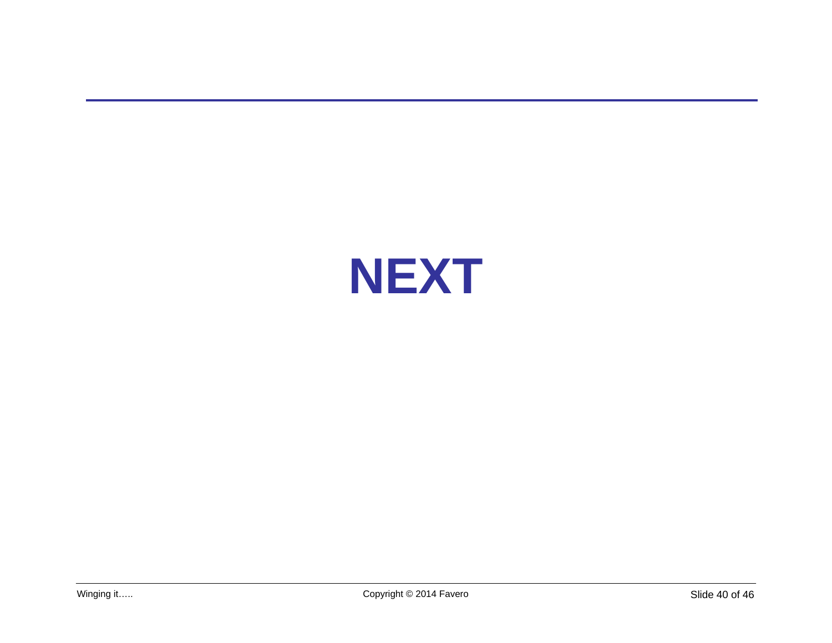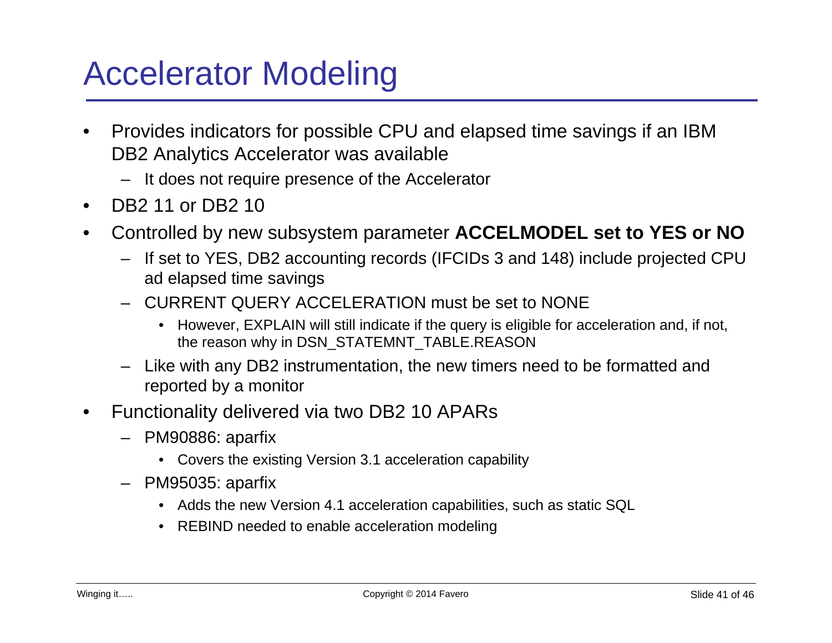# Accelerator Modeling

- Provides indicators for possible CPU and elapsed time savings if an IBM DB2 Analytics Accelerator was available
	- It does not require presence of the Accelerator
- DB2 11 or DB2 10
- Controlled by new subsystem parameter **ACCELMODEL set to YES or NO**
	- If set to YES, DB2 accounting records (IFCIDs 3 and 148) include projected CPU ad elapsed time savings
	- CURRENT QUERY ACCELERATION must be set to NONE
		- However, EXPLAIN will still indicate if the query is eligible for acceleration and, if not, the reason why in DSN\_STATEMNT\_TABLE.REASON
	- Like with any DB2 instrumentation, the new timers need to be formatted and reported by a monitor
- Functionality delivered via two DB2 10 APARs
	- PM90886: aparfix
		- Covers the existing Version 3.1 acceleration capability
	- PM95035: aparfix
		- Adds the new Version 4.1 acceleration capabilities, such as static SQL
		- REBIND needed to enable acceleration modeling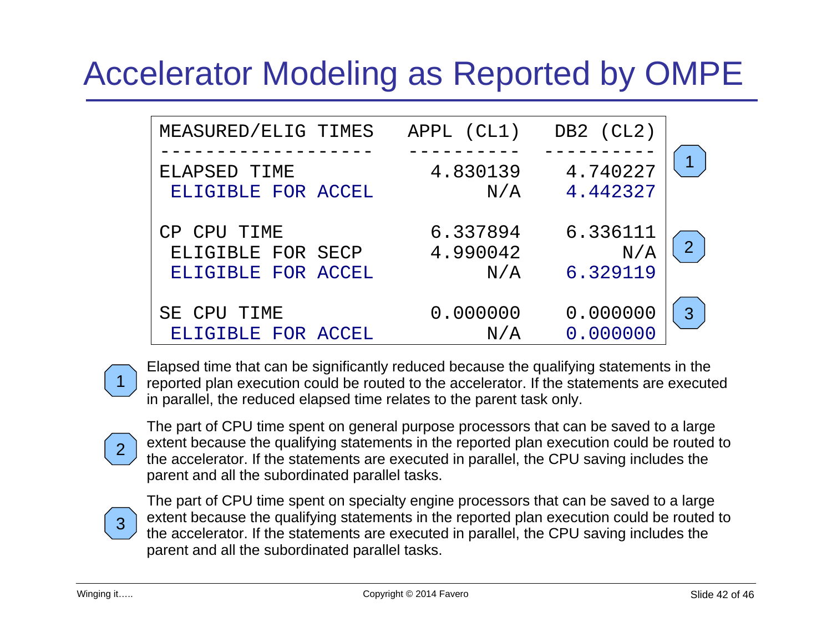# Accelerator Modeling as Reported by OMPE

|                | DB2 (CL2) | APPL (CL1) | MEASURED/ELIG TIMES |
|----------------|-----------|------------|---------------------|
|                |           |            |                     |
|                | 4.740227  | 4.830139   | ELAPSED TIME        |
|                | 4.442327  | N/A        | ELIGIBLE FOR ACCEL  |
|                |           |            |                     |
|                | 6.336111  | 6.337894   | CP CPU TIME         |
| $\overline{2}$ | N/A       | 4.990042   | ELIGIBLE FOR SECP   |
|                | 6.329119  | N/A        | ELIGIBLE FOR ACCEL  |
|                |           |            |                     |
| 3              | 0.000000  | 0.000000   | SE CPU TIME         |
|                | 0.000000  | N/A        | ELIGIBLE FOR ACCEL  |



Elapsed time that can be significantly reduced because the qualifying statements in the reported plan execution could be routed to the accelerator. If the statements are executed in parallel, the reduced elapsed time relates to the parent task only.



The part of CPU time spent on general purpose processors that can be saved to a large extent because the qualifying statements in the reported plan execution could be routed to the accelerator. If the statements are executed in parallel, the CPU saving includes the parent and all the subordinated parallel tasks.



The part of CPU time spent on specialty engine processors that can be saved to a large extent because the qualifying statements in the reported plan execution could be routed to the accelerator. If the statements are executed in parallel, the CPU saving includes the parent and all the subordinated parallel tasks.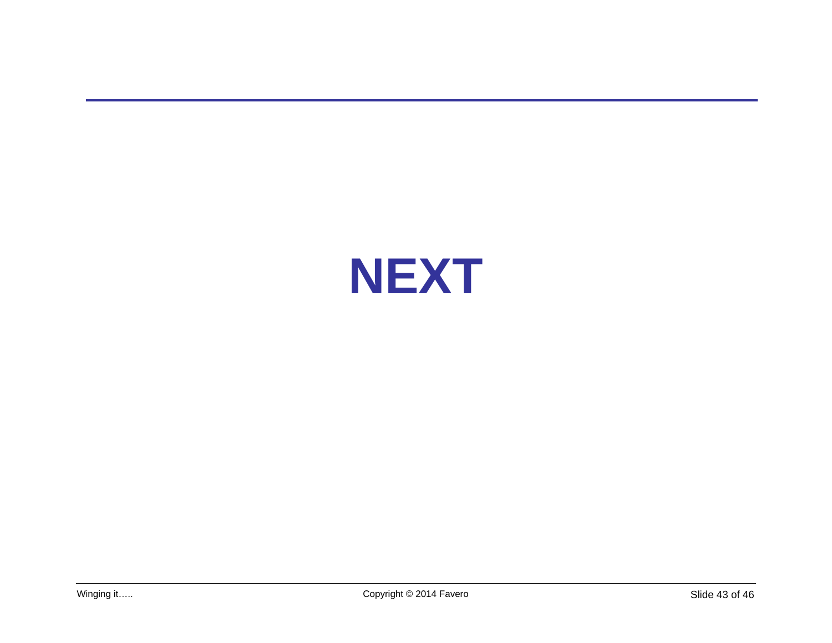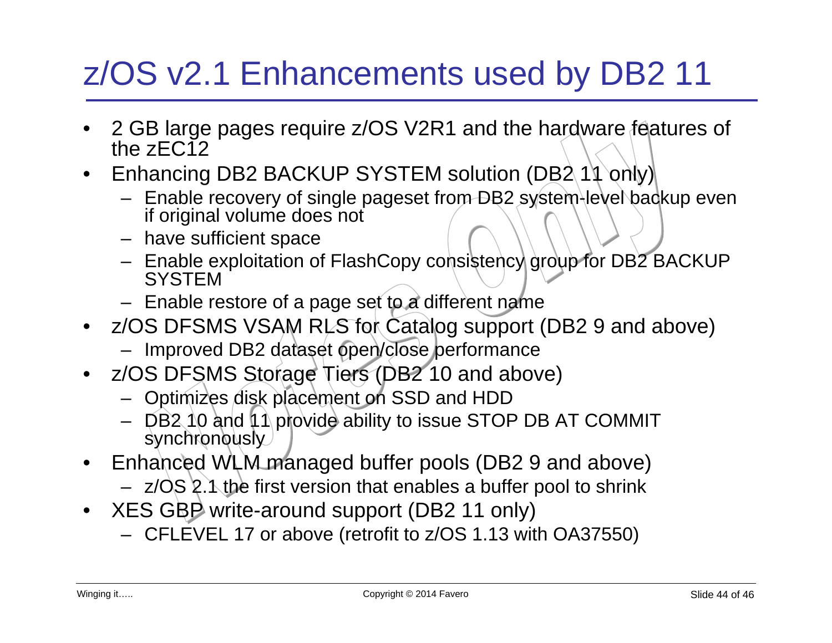# z/OS v2.1 Enhancements used by DB2 11

- 2 GB large pages require z/OS V2R1 and the hardware features of the zEC12
- Enhancing DB2 BACKUP SYSTEM solution (DB2 11 only)
	- Enable recovery of single pageset from DB2 system-level backup even if original volume does not
	- have sufficient space
	- Enable exploitation of FlashCopy consistency group for DB2 BACKUP **SYSTEM**
	- Enable restore of a page set to a different name
- z/OS DFSMS VSAM RLS for Catalog support (DB2 9 and above)
	- Improved DB2 dataset open/close performance
- z/OS DFSMS Storage Tiers (DB2 10 and above)
	- Optimizes disk placement on SSD and HDD
	- $-$  DB2 10 and 11 provide ability to issue STOP DB AT COMMIT synchronously
- Enhanced WLM managed buffer pools (DB2 9 and above)
	- $-$  z/OS 2.1 the first version that enables a buffer pool to shrink
- XES GBP write-around support (DB2 11 only)
	- CFLEVEL 17 or above (retrofit to z/OS 1.13 with OA37550)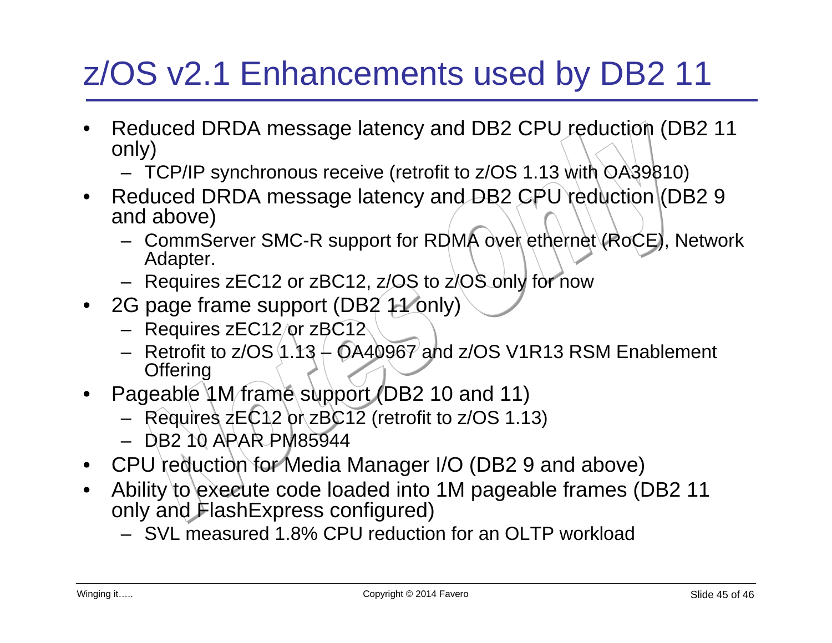# z/OS v2.1 Enhancements used by DB2 11

- Reduced DRDA message latency and DB2 CPU reduction (DB2 11 only)
	- TCP/IP synchronous receive (retrofit to z/OS 1.13 with OA39810)
- Reduced DRDA message latency and DB2 CPU reduction (DB2 9 and above)
	- CommServer SMC-R support for RDMA over ethernet (RoCE), Network Adapter.
	- Requires zEC12 or zBC12, z/OS to z/OS only for now
- 2G page frame support (DB2 11 only)
	- Requires zEC12/or zBC12
	- Retrofit to  $z/\text{OS}$  (1.13  $\text{\textdegree}$  OA40967 and  $z/\text{OS}$  V1R13 RSM Enablement **Offering**
- Pageable 1 M frame support (DB2 10 and 11)
	- Requires zEC12 or zBC12 (retrofit to z/OS 1.13)
	- DB2 10 APAR PM85944
- CPU reduction for Media Manager I/O (DB2 9 and above)
- Ability to execute code loaded into 1M pageable frames (DB2 11 only and FlashExpress configured)
	- SVL measured 1.8% CPU reduction for an OLTP workload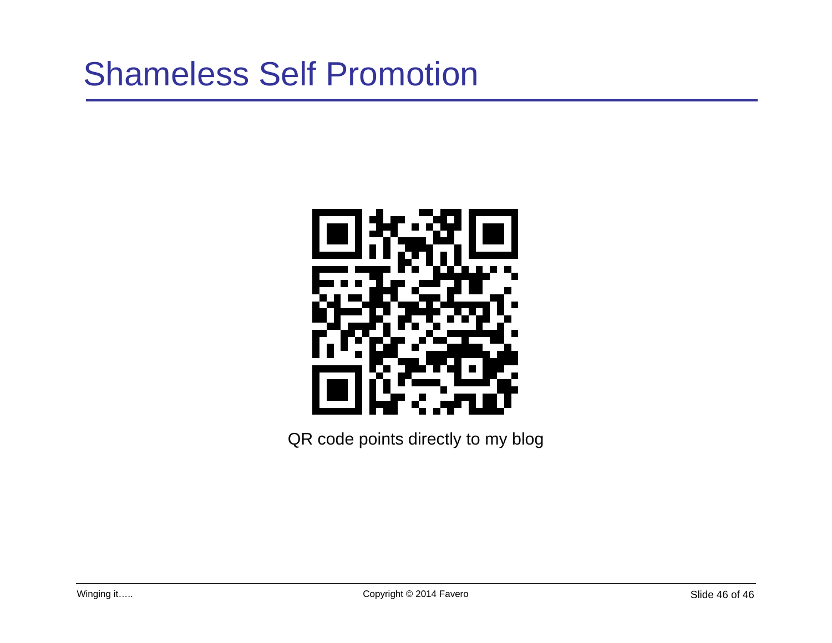

QR code points directly to my blog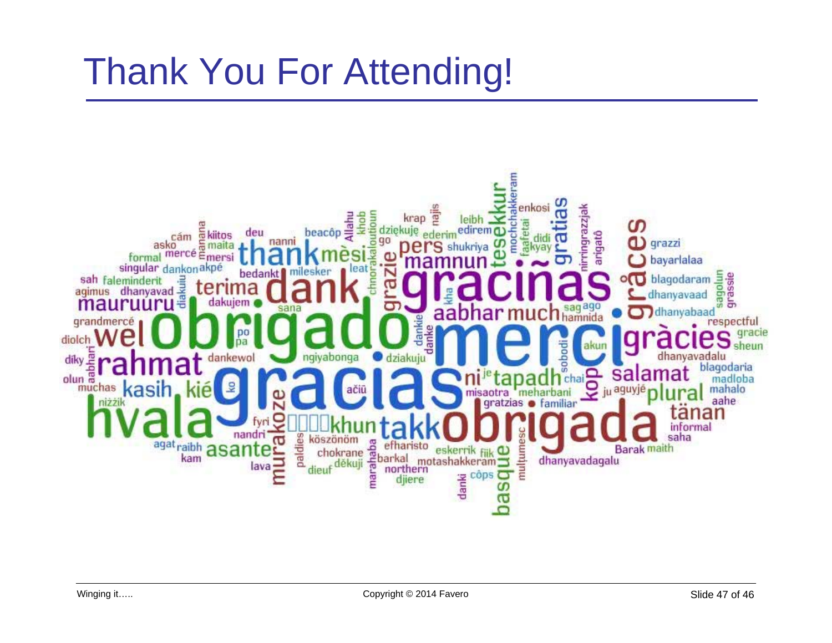# **Thank You For Attending!**

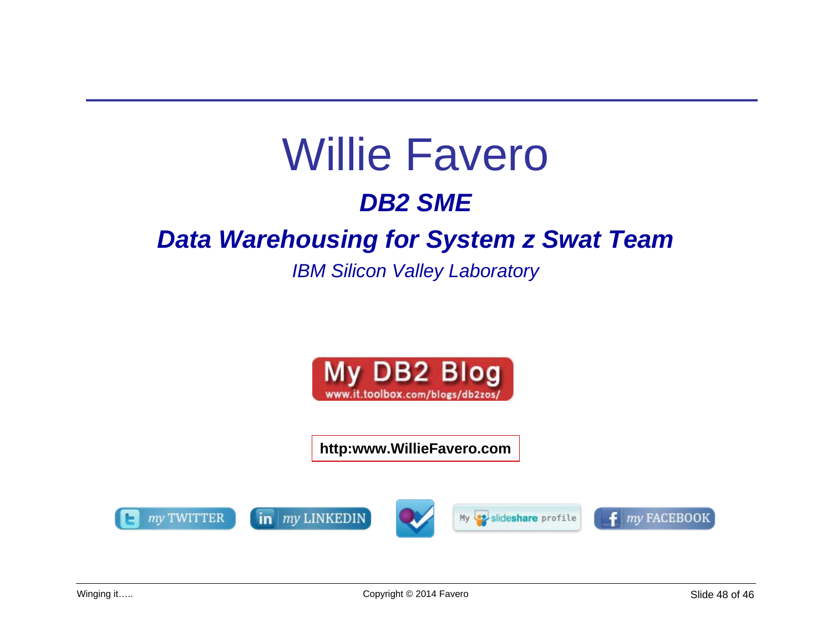# **Willie Favero DB2 SME**

#### **Data Warehousing for System z Swat Team**

**IBM Silicon Valley Laboratory** 



http:www.WillieFavero.com